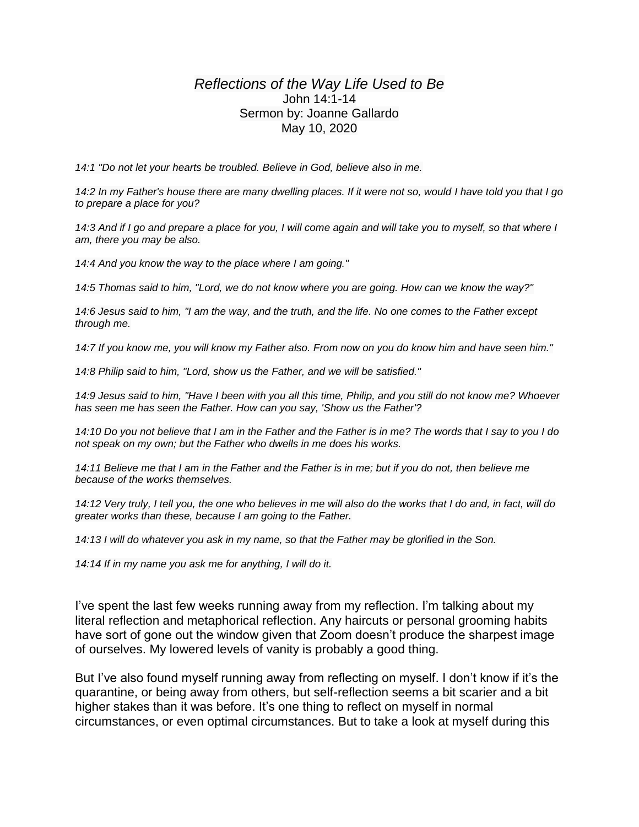## *Reflections of the Way Life Used to Be* John 14:1-14 Sermon by: Joanne Gallardo May 10, 2020

*14:1 "Do not let your hearts be troubled. Believe in God, believe also in me.*

*14:2 In my Father's house there are many dwelling places. If it were not so, would I have told you that I go to prepare a place for you?*

*14:3 And if I go and prepare a place for you, I will come again and will take you to myself, so that where I am, there you may be also.*

*14:4 And you know the way to the place where I am going."*

*14:5 Thomas said to him, "Lord, we do not know where you are going. How can we know the way?"*

*14:6 Jesus said to him, "I am the way, and the truth, and the life. No one comes to the Father except through me.*

*14:7 If you know me, you will know my Father also. From now on you do know him and have seen him."*

*14:8 Philip said to him, "Lord, show us the Father, and we will be satisfied."*

*14:9 Jesus said to him, "Have I been with you all this time, Philip, and you still do not know me? Whoever has seen me has seen the Father. How can you say, 'Show us the Father'?*

*14:10 Do you not believe that I am in the Father and the Father is in me? The words that I say to you I do not speak on my own; but the Father who dwells in me does his works.*

*14:11 Believe me that I am in the Father and the Father is in me; but if you do not, then believe me because of the works themselves.*

14:12 Very truly, I tell you, the one who believes in me will also do the works that I do and, in fact, will do *greater works than these, because I am going to the Father.*

*14:13 I will do whatever you ask in my name, so that the Father may be glorified in the Son.*

*14:14 If in my name you ask me for anything, I will do it.*

I've spent the last few weeks running away from my reflection. I'm talking about my literal reflection and metaphorical reflection. Any haircuts or personal grooming habits have sort of gone out the window given that Zoom doesn't produce the sharpest image of ourselves. My lowered levels of vanity is probably a good thing.

But I've also found myself running away from reflecting on myself. I don't know if it's the quarantine, or being away from others, but self-reflection seems a bit scarier and a bit higher stakes than it was before. It's one thing to reflect on myself in normal circumstances, or even optimal circumstances. But to take a look at myself during this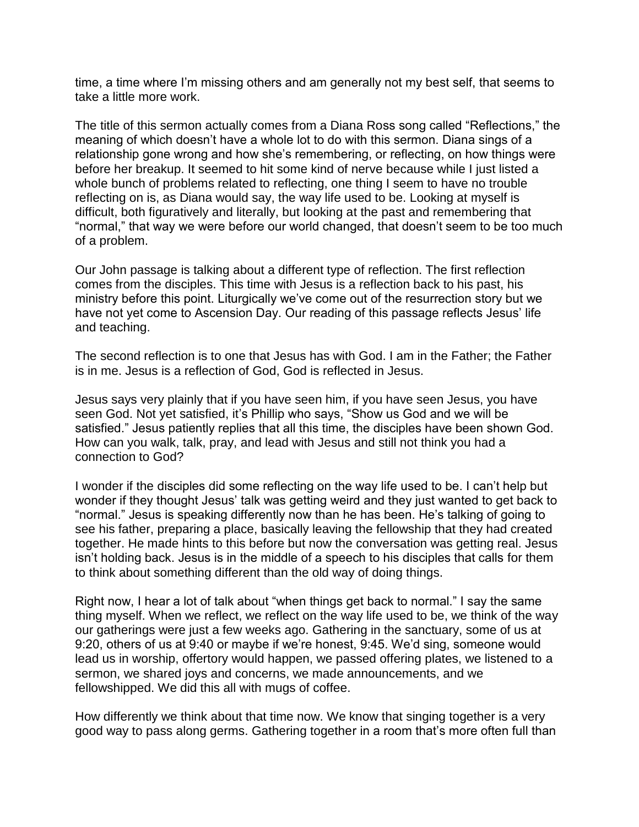time, a time where I'm missing others and am generally not my best self, that seems to take a little more work.

The title of this sermon actually comes from a Diana Ross song called "Reflections," the meaning of which doesn't have a whole lot to do with this sermon. Diana sings of a relationship gone wrong and how she's remembering, or reflecting, on how things were before her breakup. It seemed to hit some kind of nerve because while I just listed a whole bunch of problems related to reflecting, one thing I seem to have no trouble reflecting on is, as Diana would say, the way life used to be. Looking at myself is difficult, both figuratively and literally, but looking at the past and remembering that "normal," that way we were before our world changed, that doesn't seem to be too much of a problem.

Our John passage is talking about a different type of reflection. The first reflection comes from the disciples. This time with Jesus is a reflection back to his past, his ministry before this point. Liturgically we've come out of the resurrection story but we have not yet come to Ascension Day. Our reading of this passage reflects Jesus' life and teaching.

The second reflection is to one that Jesus has with God. I am in the Father; the Father is in me. Jesus is a reflection of God, God is reflected in Jesus.

Jesus says very plainly that if you have seen him, if you have seen Jesus, you have seen God. Not yet satisfied, it's Phillip who says, "Show us God and we will be satisfied." Jesus patiently replies that all this time, the disciples have been shown God. How can you walk, talk, pray, and lead with Jesus and still not think you had a connection to God?

I wonder if the disciples did some reflecting on the way life used to be. I can't help but wonder if they thought Jesus' talk was getting weird and they just wanted to get back to "normal." Jesus is speaking differently now than he has been. He's talking of going to see his father, preparing a place, basically leaving the fellowship that they had created together. He made hints to this before but now the conversation was getting real. Jesus isn't holding back. Jesus is in the middle of a speech to his disciples that calls for them to think about something different than the old way of doing things.

Right now, I hear a lot of talk about "when things get back to normal." I say the same thing myself. When we reflect, we reflect on the way life used to be, we think of the way our gatherings were just a few weeks ago. Gathering in the sanctuary, some of us at 9:20, others of us at 9:40 or maybe if we're honest, 9:45. We'd sing, someone would lead us in worship, offertory would happen, we passed offering plates, we listened to a sermon, we shared joys and concerns, we made announcements, and we fellowshipped. We did this all with mugs of coffee.

How differently we think about that time now. We know that singing together is a very good way to pass along germs. Gathering together in a room that's more often full than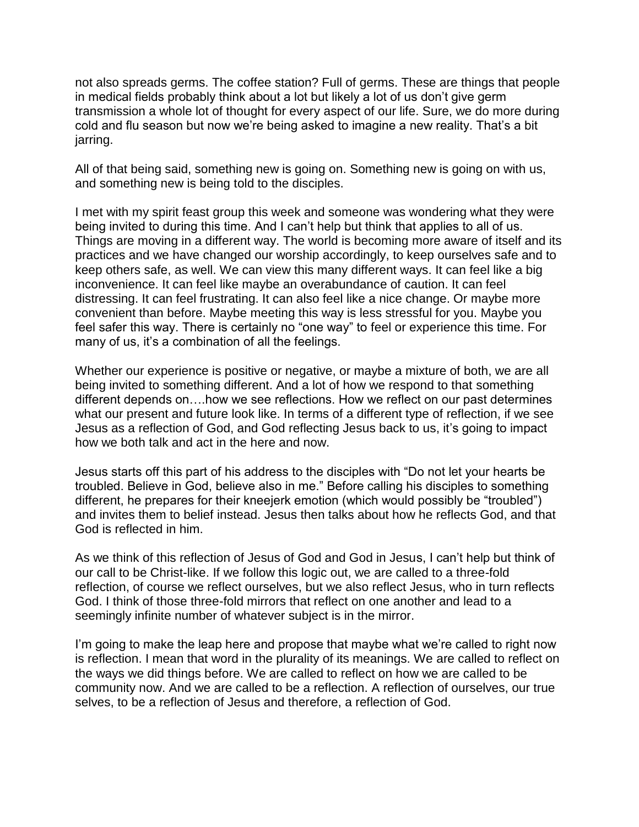not also spreads germs. The coffee station? Full of germs. These are things that people in medical fields probably think about a lot but likely a lot of us don't give germ transmission a whole lot of thought for every aspect of our life. Sure, we do more during cold and flu season but now we're being asked to imagine a new reality. That's a bit jarring.

All of that being said, something new is going on. Something new is going on with us, and something new is being told to the disciples.

I met with my spirit feast group this week and someone was wondering what they were being invited to during this time. And I can't help but think that applies to all of us. Things are moving in a different way. The world is becoming more aware of itself and its practices and we have changed our worship accordingly, to keep ourselves safe and to keep others safe, as well. We can view this many different ways. It can feel like a big inconvenience. It can feel like maybe an overabundance of caution. It can feel distressing. It can feel frustrating. It can also feel like a nice change. Or maybe more convenient than before. Maybe meeting this way is less stressful for you. Maybe you feel safer this way. There is certainly no "one way" to feel or experience this time. For many of us, it's a combination of all the feelings.

Whether our experience is positive or negative, or maybe a mixture of both, we are all being invited to something different. And a lot of how we respond to that something different depends on….how we see reflections. How we reflect on our past determines what our present and future look like. In terms of a different type of reflection, if we see Jesus as a reflection of God, and God reflecting Jesus back to us, it's going to impact how we both talk and act in the here and now.

Jesus starts off this part of his address to the disciples with "Do not let your hearts be troubled. Believe in God, believe also in me." Before calling his disciples to something different, he prepares for their kneejerk emotion (which would possibly be "troubled") and invites them to belief instead. Jesus then talks about how he reflects God, and that God is reflected in him.

As we think of this reflection of Jesus of God and God in Jesus, I can't help but think of our call to be Christ-like. If we follow this logic out, we are called to a three-fold reflection, of course we reflect ourselves, but we also reflect Jesus, who in turn reflects God. I think of those three-fold mirrors that reflect on one another and lead to a seemingly infinite number of whatever subject is in the mirror.

I'm going to make the leap here and propose that maybe what we're called to right now is reflection. I mean that word in the plurality of its meanings. We are called to reflect on the ways we did things before. We are called to reflect on how we are called to be community now. And we are called to be a reflection. A reflection of ourselves, our true selves, to be a reflection of Jesus and therefore, a reflection of God.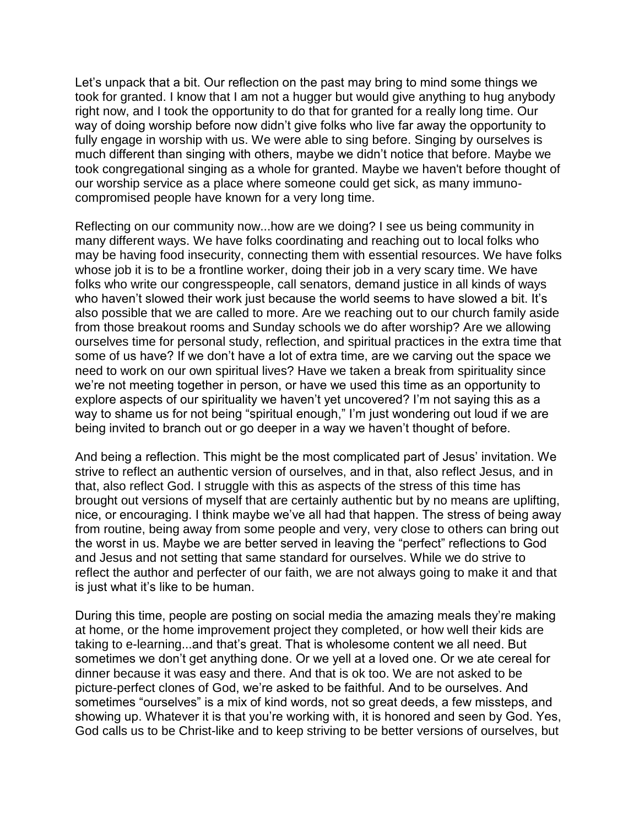Let's unpack that a bit. Our reflection on the past may bring to mind some things we took for granted. I know that I am not a hugger but would give anything to hug anybody right now, and I took the opportunity to do that for granted for a really long time. Our way of doing worship before now didn't give folks who live far away the opportunity to fully engage in worship with us. We were able to sing before. Singing by ourselves is much different than singing with others, maybe we didn't notice that before. Maybe we took congregational singing as a whole for granted. Maybe we haven't before thought of our worship service as a place where someone could get sick, as many immunocompromised people have known for a very long time.

Reflecting on our community now...how are we doing? I see us being community in many different ways. We have folks coordinating and reaching out to local folks who may be having food insecurity, connecting them with essential resources. We have folks whose job it is to be a frontline worker, doing their job in a very scary time. We have folks who write our congresspeople, call senators, demand justice in all kinds of ways who haven't slowed their work just because the world seems to have slowed a bit. It's also possible that we are called to more. Are we reaching out to our church family aside from those breakout rooms and Sunday schools we do after worship? Are we allowing ourselves time for personal study, reflection, and spiritual practices in the extra time that some of us have? If we don't have a lot of extra time, are we carving out the space we need to work on our own spiritual lives? Have we taken a break from spirituality since we're not meeting together in person, or have we used this time as an opportunity to explore aspects of our spirituality we haven't yet uncovered? I'm not saying this as a way to shame us for not being "spiritual enough," I'm just wondering out loud if we are being invited to branch out or go deeper in a way we haven't thought of before.

And being a reflection. This might be the most complicated part of Jesus' invitation. We strive to reflect an authentic version of ourselves, and in that, also reflect Jesus, and in that, also reflect God. I struggle with this as aspects of the stress of this time has brought out versions of myself that are certainly authentic but by no means are uplifting, nice, or encouraging. I think maybe we've all had that happen. The stress of being away from routine, being away from some people and very, very close to others can bring out the worst in us. Maybe we are better served in leaving the "perfect" reflections to God and Jesus and not setting that same standard for ourselves. While we do strive to reflect the author and perfecter of our faith, we are not always going to make it and that is just what it's like to be human.

During this time, people are posting on social media the amazing meals they're making at home, or the home improvement project they completed, or how well their kids are taking to e-learning...and that's great. That is wholesome content we all need. But sometimes we don't get anything done. Or we yell at a loved one. Or we ate cereal for dinner because it was easy and there. And that is ok too. We are not asked to be picture-perfect clones of God, we're asked to be faithful. And to be ourselves. And sometimes "ourselves" is a mix of kind words, not so great deeds, a few missteps, and showing up. Whatever it is that you're working with, it is honored and seen by God. Yes, God calls us to be Christ-like and to keep striving to be better versions of ourselves, but